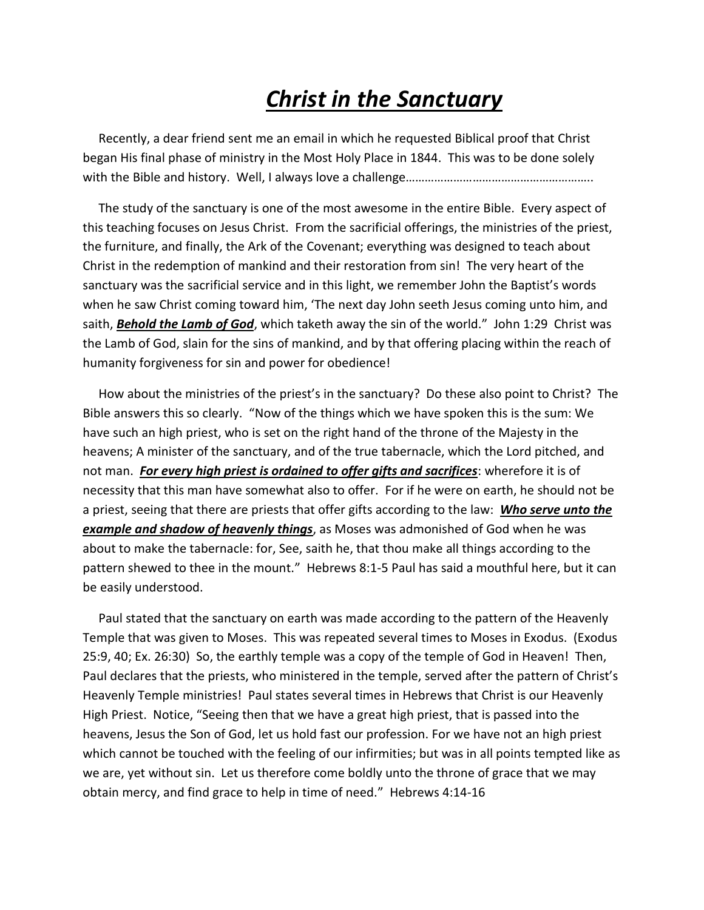## *Christ in the Sanctuary*

 Recently, a dear friend sent me an email in which he requested Biblical proof that Christ began His final phase of ministry in the Most Holy Place in 1844. This was to be done solely with the Bible and history. Well, I always love a challenge…………………………………………………..

 The study of the sanctuary is one of the most awesome in the entire Bible. Every aspect of this teaching focuses on Jesus Christ. From the sacrificial offerings, the ministries of the priest, the furniture, and finally, the Ark of the Covenant; everything was designed to teach about Christ in the redemption of mankind and their restoration from sin! The very heart of the sanctuary was the sacrificial service and in this light, we remember John the Baptist's words when he saw Christ coming toward him, 'The next day John seeth Jesus coming unto him, and saith, *Behold the Lamb of God*, which taketh away the sin of the world." John 1:29 Christ was the Lamb of God, slain for the sins of mankind, and by that offering placing within the reach of humanity forgiveness for sin and power for obedience!

 How about the ministries of the priest's in the sanctuary? Do these also point to Christ? The Bible answers this so clearly. "Now of the things which we have spoken this is the sum: We have such an high priest, who is set on the right hand of the throne of the Majesty in the heavens; A minister of the sanctuary, and of the true tabernacle, which the Lord pitched, and not man. *For every high priest is ordained to offer gifts and sacrifices*: wherefore it is of necessity that this man have somewhat also to offer. For if he were on earth, he should not be a priest, seeing that there are priests that offer gifts according to the law: *Who serve unto the example and shadow of heavenly things*, as Moses was admonished of God when he was about to make the tabernacle: for, See, saith he, that thou make all things according to the pattern shewed to thee in the mount." Hebrews 8:1-5 Paul has said a mouthful here, but it can be easily understood.

 Paul stated that the sanctuary on earth was made according to the pattern of the Heavenly Temple that was given to Moses. This was repeated several times to Moses in Exodus. (Exodus 25:9, 40; Ex. 26:30) So, the earthly temple was a copy of the temple of God in Heaven! Then, Paul declares that the priests, who ministered in the temple, served after the pattern of Christ's Heavenly Temple ministries! Paul states several times in Hebrews that Christ is our Heavenly High Priest. Notice, "Seeing then that we have a great high priest, that is passed into the heavens, Jesus the Son of God, let us hold fast our profession. For we have not an high priest which cannot be touched with the feeling of our infirmities; but was in all points tempted like as we are, yet without sin. Let us therefore come boldly unto the throne of grace that we may obtain mercy, and find grace to help in time of need." Hebrews 4:14-16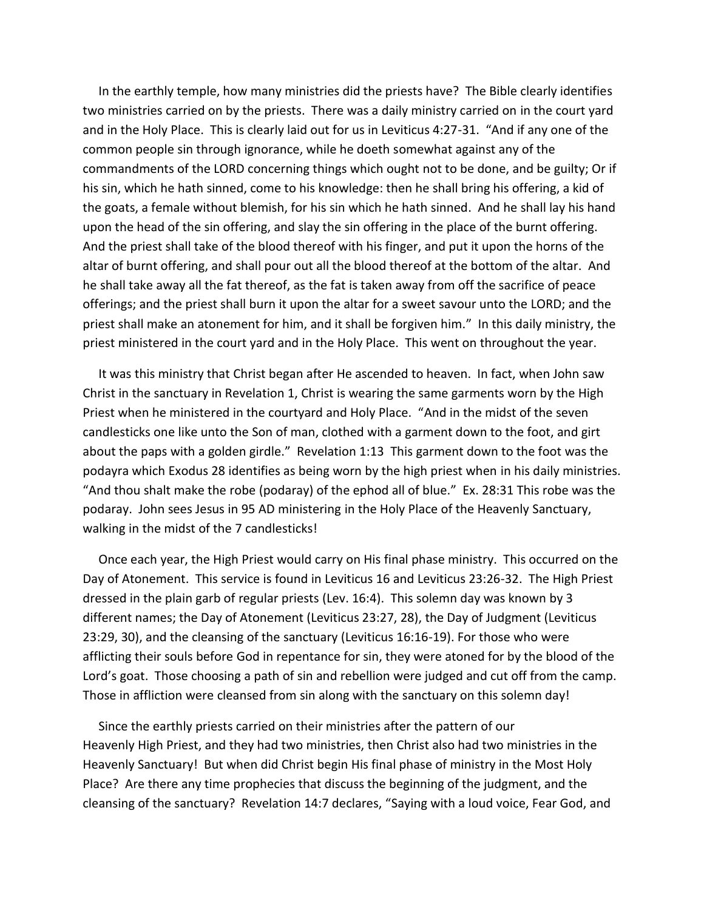In the earthly temple, how many ministries did the priests have? The Bible clearly identifies two ministries carried on by the priests. There was a daily ministry carried on in the court yard and in the Holy Place. This is clearly laid out for us in Leviticus 4:27-31. "And if any one of the common people sin through ignorance, while he doeth somewhat against any of the commandments of the LORD concerning things which ought not to be done, and be guilty; Or if his sin, which he hath sinned, come to his knowledge: then he shall bring his offering, a kid of the goats, a female without blemish, for his sin which he hath sinned. And he shall lay his hand upon the head of the sin offering, and slay the sin offering in the place of the burnt offering. And the priest shall take of the blood thereof with his finger, and put it upon the horns of the altar of burnt offering, and shall pour out all the blood thereof at the bottom of the altar. And he shall take away all the fat thereof, as the fat is taken away from off the sacrifice of peace offerings; and the priest shall burn it upon the altar for a sweet savour unto the LORD; and the priest shall make an atonement for him, and it shall be forgiven him." In this daily ministry, the priest ministered in the court yard and in the Holy Place. This went on throughout the year.

 It was this ministry that Christ began after He ascended to heaven. In fact, when John saw Christ in the sanctuary in Revelation 1, Christ is wearing the same garments worn by the High Priest when he ministered in the courtyard and Holy Place. "And in the midst of the seven candlesticks one like unto the Son of man, clothed with a garment down to the foot, and girt about the paps with a golden girdle." Revelation 1:13 This garment down to the foot was the podayra which Exodus 28 identifies as being worn by the high priest when in his daily ministries. "And thou shalt make the robe (podaray) of the ephod all of blue." Ex. 28:31 This robe was the podaray. John sees Jesus in 95 AD ministering in the Holy Place of the Heavenly Sanctuary, walking in the midst of the 7 candlesticks!

 Once each year, the High Priest would carry on His final phase ministry. This occurred on the Day of Atonement. This service is found in Leviticus 16 and Leviticus 23:26-32. The High Priest dressed in the plain garb of regular priests (Lev. 16:4). This solemn day was known by 3 different names; the Day of Atonement (Leviticus 23:27, 28), the Day of Judgment (Leviticus 23:29, 30), and the cleansing of the sanctuary (Leviticus 16:16-19). For those who were afflicting their souls before God in repentance for sin, they were atoned for by the blood of the Lord's goat. Those choosing a path of sin and rebellion were judged and cut off from the camp. Those in affliction were cleansed from sin along with the sanctuary on this solemn day!

 Since the earthly priests carried on their ministries after the pattern of our Heavenly High Priest, and they had two ministries, then Christ also had two ministries in the Heavenly Sanctuary! But when did Christ begin His final phase of ministry in the Most Holy Place? Are there any time prophecies that discuss the beginning of the judgment, and the cleansing of the sanctuary? Revelation 14:7 declares, "Saying with a loud voice, Fear God, and